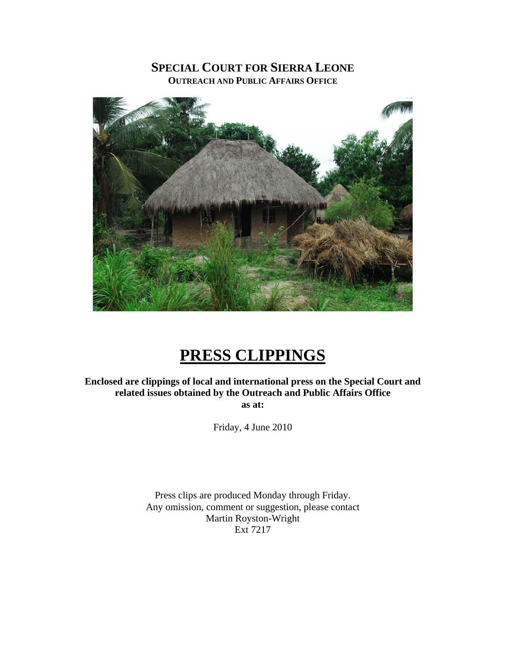## **SPECIAL COURT FOR SIERRA LEONE OUTREACH AND PUBLIC AFFAIRS OFFICE**



# **PRESS CLIPPINGS**

**Enclosed are clippings of local and international press on the Special Court and related issues obtained by the Outreach and Public Affairs Office as at:** 

Friday, 4 June 2010

Press clips are produced Monday through Friday. Any omission, comment or suggestion, please contact Martin Royston-Wright Ext 7217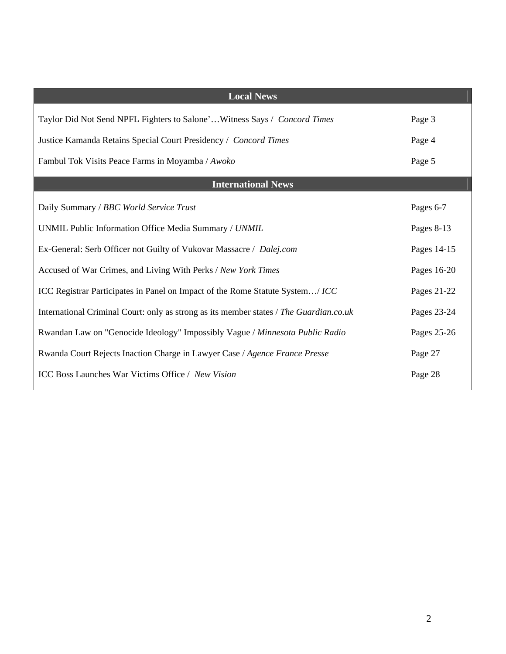| <b>Local News</b>                                                                      |             |
|----------------------------------------------------------------------------------------|-------------|
| Taylor Did Not Send NPFL Fighters to Salone' Witness Says / Concord Times              | Page 3      |
| Justice Kamanda Retains Special Court Presidency / Concord Times                       | Page 4      |
| Fambul Tok Visits Peace Farms in Moyamba / Awoko                                       | Page 5      |
| <b>International News</b>                                                              |             |
| Daily Summary / BBC World Service Trust                                                | Pages 6-7   |
| UNMIL Public Information Office Media Summary / UNMIL                                  | Pages 8-13  |
| Ex-General: Serb Officer not Guilty of Vukovar Massacre / Dalej.com                    | Pages 14-15 |
| Accused of War Crimes, and Living With Perks / New York Times                          | Pages 16-20 |
| ICC Registrar Participates in Panel on Impact of the Rome Statute System/ICC           | Pages 21-22 |
| International Criminal Court: only as strong as its member states / The Guardian.co.uk | Pages 23-24 |
| Rwandan Law on "Genocide Ideology" Impossibly Vague / Minnesota Public Radio           | Pages 25-26 |
| Rwanda Court Rejects Inaction Charge in Lawyer Case / Agence France Presse             | Page 27     |
| ICC Boss Launches War Victims Office / New Vision                                      | Page 28     |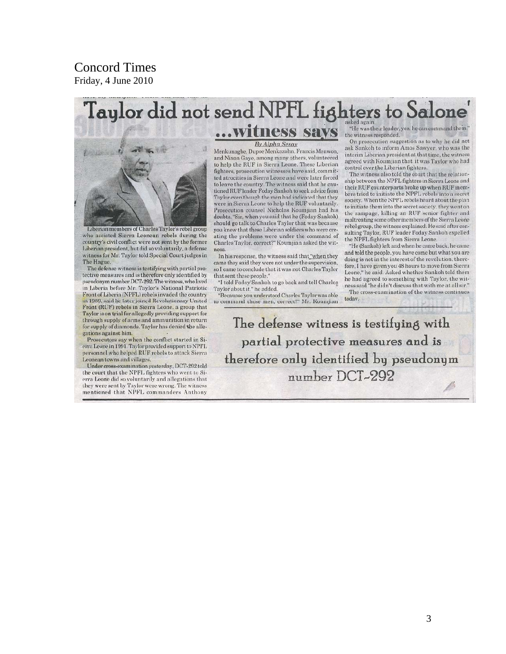## Concord Times Friday, 4 June 2010

#### Taylor did not send NPFL fighters to Salone asked again. ... witness says "He was their leader, yes, he can command them." the witness responded.



Liberian members of Charles Taylor's rebel group who assisted Sierra Leonean rebels during the country's civil conflict were not sent by the former Liberian president, but did so voluntarily, a defense witness for Mr. Taylor told Special Court judges in The Hague.

The defense witness is testifying with partial protective measures and is therefore only identified by pseudonym number DCT-292. The witness, who lived in Liberia before Mr. Taylor's National Patriotic Front of Liberia (NPFL) rebels invaded the country in 1989, said he later joined Revolutionary United Front (RUF) rebels in Sierra Leone, a group that Taylor is on trial for allegedly providing support for through supply of arms and ammunition in return for supply of diamonds. Taylor has denied the allegations against him.

Prosecutors say when the conflict started in Sierra Leone in 1991, Taylor provided support to NPFL personnel who helped RUF rebels to attack Sierra Leonean towns and villages.

Under cross-examination yesterday, DCT-292 told the court that the NPFL fighters who went to Sierra Leone did so voluntarily and allegations that they were sent by Taylor were wrong. The witness mentioned that NPFL commanders Anthony

**By Alpha Sesay** 

Menkunagbe, Dupoe Menkazohn, Francis Menwon, and Nixon Gaye, among many others, volunteered<br>to help the RUF in Sierra Leone. These Liberian fighters, prosecution witnesses have said, committed atrocities in Sierra Leone and were later forced to leave the country. The witness said that he cautioned RUF leader Foday Sankoh to seek advice from Taylor even though the men had indicated that they were in Sierra Leone to help the RUF voluntarily. Prosecution counsel Nicholas Koumjian had his doubts, "Sir, when you said that he (Foday Sankoh) should go talk to Charles Taylor that was because you knew that these Liberian soldiers who were creating the problems were under the command of Charles Taylor, correct?" Koumjian asked the wit $neg$ 

In his response, the witness said that "when they came they said they were not under the supervision. so I came to conclude that it was not Charles Taylor that sent these people."

"I told Foday'Sankoh to go back and tell Charles Taylor about it." he added

"Becauase you understood Charles Taylor was able to command those men, correct?" Mr. Koumjian

On prosecution suggestion as to why he did not ask Sankoh to inform Amos Sawyer, who was the interim Liberian president at that time, the witness agreed with Koumjian that it was Taylor who had control over the Liberian fighters.

The witness also told the court that the relationship between the NPFL fighters in Sierra Leone and their RUF counterparts broke up when RUF members tried to initiate the NPFL rebels into a secret society. When the NPFL rebels heard about the plan to initiate them into the secret society, they went on the rampage, killing an RUF senior fighter and maltreating some other members of the Sierra Leone rebel group, the witness explained. He said after consulting Taylor, RUF leader Foday Sankoh expelled the NPFL fighters from Sierra Leone.

"He (Sankoh) left and when he came back, he came and told the people, you have come but what you are doing is not in the interest of the revolution, therefore, I have given you 48 hours to move from Sierra Leone," he said. Asked whether Sankoh told them he had agreed to something with Taylor, the witness said "he didn't discuss that with me at all sir."

The cross-examination of the witness continues today.

The defense witness is testifying with partial protective measures and is therefore only identified by pseudonym number DCT-292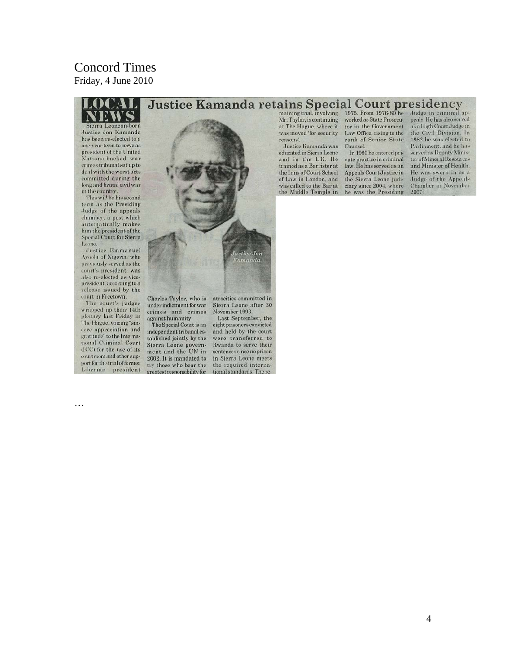## Concord Times Friday, 4 June 2010

## CAL NEWS

Sierra Leonean-born Justice Jon Kamanda has been re-elected to a one-year term to serve as president of the United Nations-backed war crimes tribunal set up to deal with the worst acts committed during the long and brutal civil war in the country.

This will be his second term as the Presiding Judge of the appeals chamber, a post which automatically makes him the president of the **Special Court for Sierra** Leone.

Justice Emmanuel Ayoola of Nigeria, who previously served as the court's president, was also re-elected as vicepresident, according to a release issued by the court in Freetown.

The court's judges wrapped up their 14th plenary last Friday in The Hague, voicing "sincere appreciation and gratitude" to the International Criminal Court (ICC) for the use of its. courtroom and other support for the trial of former<br>Liberian president

…

Jon ianda Charles Taylor, who is

under indictment for war crimes and crimes against humanity.

The Special Court is an independent tribunal established jointly by the Sierra Leone government and the UN in 2002. It is mandated to try those who bear the greatest responsibility for tional standards. The re-

atrocities committed in Sierra Leone after 30 November 1996.

Last September, the eight prisoners convicted and held by the court were transferred to Rwanda to serve their sentences since no prison in Sierra Leone meets the required interna-

Justice Kamanda retains Special Court presidency Mr. Taylor, is continuing at The Hague, where it was moved 'for security reasons'.

Justice Kamanda was educated in Sierra Leone and in the UK. He trained as a Barrister at the Inns of Court School of Law in London, and was called to the Bar at the Middle Temple in worked as State Prosecutor in the Government Law Office, rising to the rank of Senior State Counsel. In 1980 he entered pri-

vate practice in criminal law. He has served as an Appeals Court Justice in the Sierra Leone judiciary since 2004, where he was the Presiding

Judge in criminal appeals. He has also served as a High Court Judge in the Civil Division. In 1982 he was elected to Parliament, and he has served as Deputy Minister of Mineral Resources and Minister of Health. He was sworn in as a Judge of the Appeals Chamber in November 2007.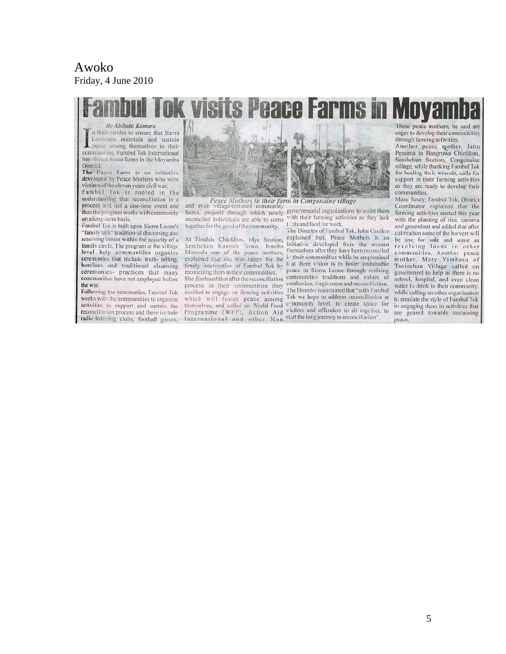## Awoko Friday, 4 June 2010

**Visits Peace Farms in Moy:** 

By Abibatu Kamara n their strides to ensure that Sierra Leoneans maintain and sustain peace among themselves in their communities, Fambul Tok International has visited peace farms in the Moyamba District.

The Peace Farm is an initiative developed by Peace Mothers who were victims of the eleven years civil war.

Fambul Tok is rooted in the understanding that reconciliation is a process and not a one-time event and thus the program works with community on a long-term basis.

Fambul Tok is built upon Sierra Leone's "family talk" tradition of discussing and resolving issues within the security of a family circle. The program at the village level help communities organize ceremonies that include truth- telling, bonfires and traditional cleansing ceremonies- practices that many communities have not employed before the war.

Following the ceremonies, Fambul Tok works with the communities to organize activities to support and sustain the reconciliation process and these include radio-listening clubs, football games,



Peace Mothers in their farm in Congonaine village<br>and even village-initiated community and even vinage-initiated community<br>farms, projects through which newly governmental organizations to assist them reconciled individuals are able to come together for the good of the community.

At Timdale Chiefdom, Mye Section, Sembehun Kannah Town, Jeneba Momodu one of the peace mothers, explained that she was happy for the timely intervention of Fambul Tok by reconciling them in their communities. process in their communities they decided to engage on farming activities which will foster peace among International and other Non start the long journey to reconciliation"

with their farming activities as they lack

tools and food for work. The Director of Fambul Tok, John Caulker explained that, Peace Mothers is an initiative developed from the women themselves after they have been reconciled io their communities while he emphasized ti at there vision is to foster sustainable peace in Sierra Leone through reviving She disclosed that after the reconciliation communities traditions and values of<br>communities traditions and values of confession, forgiveness and reconciliation. The Director maintained that "with Fambul Tok we hope to address reconciliation at themselves, and called on World Food community level, to create space for programme (WFP), Action Aid victims and offenders to sit together, to

These peace mothers, he said are eager to develop their communities through farming activities.

Another peace mother, Jattu Pessima in Bangruwa Chiefdom, Sembehun Section, Congonaine village, while thanking Fambul Tok for healing their wounds, calls for<br>support in their farming activities as they are ready to develop their communities.

Masu Sesay, Fambul Tok, District Coordinator explained that the farming activities started this year with the planting of rice, cassava and groundnut and added that after cultivation some of the harvest will be use for sale and some as revolving loans in other communities. Another peace mother, Mary Yambasu of Taninehun Village called on government to help as there is no school, hospital, and even clean water to drink in their community, while calling on other organization to emulate the style of Fambul Tok in engaging them in activities that are geared towards sustaining peace.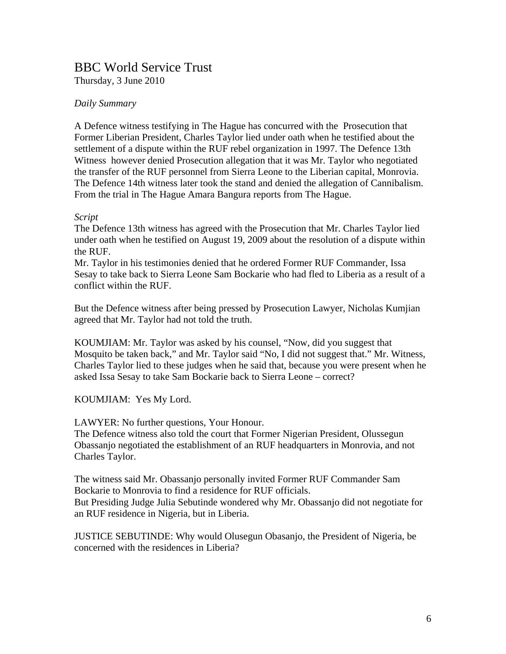## BBC World Service Trust

Thursday, 3 June 2010

## *Daily Summary*

A Defence witness testifying in The Hague has concurred with the Prosecution that Former Liberian President, Charles Taylor lied under oath when he testified about the settlement of a dispute within the RUF rebel organization in 1997. The Defence 13th Witness however denied Prosecution allegation that it was Mr. Taylor who negotiated the transfer of the RUF personnel from Sierra Leone to the Liberian capital, Monrovia. The Defence 14th witness later took the stand and denied the allegation of Cannibalism. From the trial in The Hague Amara Bangura reports from The Hague.

### *Script*

The Defence 13th witness has agreed with the Prosecution that Mr. Charles Taylor lied under oath when he testified on August 19, 2009 about the resolution of a dispute within the RUF.

Mr. Taylor in his testimonies denied that he ordered Former RUF Commander, Issa Sesay to take back to Sierra Leone Sam Bockarie who had fled to Liberia as a result of a conflict within the RUF.

But the Defence witness after being pressed by Prosecution Lawyer, Nicholas Kumjian agreed that Mr. Taylor had not told the truth.

KOUMJIAM: Mr. Taylor was asked by his counsel, "Now, did you suggest that Mosquito be taken back," and Mr. Taylor said "No, I did not suggest that." Mr. Witness, Charles Taylor lied to these judges when he said that, because you were present when he asked Issa Sesay to take Sam Bockarie back to Sierra Leone – correct?

KOUMJIAM: Yes My Lord.

LAWYER: No further questions, Your Honour.

The Defence witness also told the court that Former Nigerian President, Olussegun Obassanjo negotiated the establishment of an RUF headquarters in Monrovia, and not Charles Taylor.

The witness said Mr. Obassanjo personally invited Former RUF Commander Sam Bockarie to Monrovia to find a residence for RUF officials. But Presiding Judge Julia Sebutinde wondered why Mr. Obassanjo did not negotiate for an RUF residence in Nigeria, but in Liberia.

JUSTICE SEBUTINDE: Why would Olusegun Obasanjo, the President of Nigeria, be concerned with the residences in Liberia?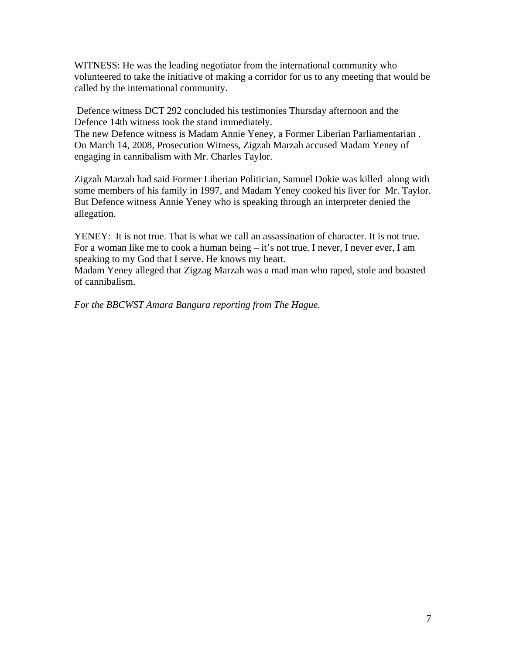WITNESS: He was the leading negotiator from the international community who volunteered to take the initiative of making a corridor for us to any meeting that would be called by the international community.

 Defence witness DCT 292 concluded his testimonies Thursday afternoon and the Defence 14th witness took the stand immediately.

The new Defence witness is Madam Annie Yeney, a Former Liberian Parliamentarian . On March 14, 2008, Prosecution Witness, Zigzah Marzah accused Madam Yeney of engaging in cannibalism with Mr. Charles Taylor.

Zigzah Marzah had said Former Liberian Politician, Samuel Dokie was killed along with some members of his family in 1997, and Madam Yeney cooked his liver for Mr. Taylor. But Defence witness Annie Yeney who is speaking through an interpreter denied the allegation.

YENEY: It is not true. That is what we call an assassination of character. It is not true. For a woman like me to cook a human being – it's not true. I never, I never ever, I am speaking to my God that I serve. He knows my heart.

Madam Yeney alleged that Zigzag Marzah was a mad man who raped, stole and boasted of cannibalism.

*For the BBCWST Amara Bangura reporting from The Hague.*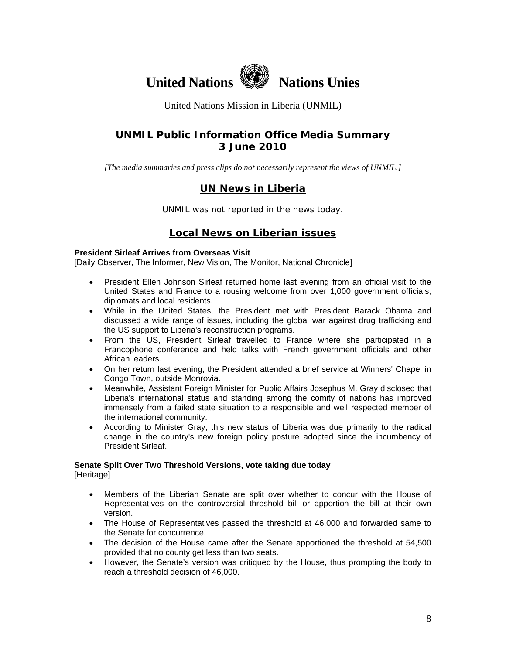

United Nations Mission in Liberia (UNMIL)

## **UNMIL Public Information Office Media Summary 3 June 2010**

*[The media summaries and press clips do not necessarily represent the views of UNMIL.]* 

## **UN News in Liberia**

*UNMIL was not reported in the news today.* 

## **Local News on Liberian issues**

#### **President Sirleaf Arrives from Overseas Visit**

[Daily Observer, The Informer, New Vision, The Monitor, National Chronicle]

- President Ellen Johnson Sirleaf returned home last evening from an official visit to the United States and France to a rousing welcome from over 1,000 government officials, diplomats and local residents.
- While in the United States, the President met with President Barack Obama and discussed a wide range of issues, including the global war against drug trafficking and the US support to Liberia's reconstruction programs.
- From the US, President Sirleaf travelled to France where she participated in a Francophone conference and held talks with French government officials and other African leaders.
- On her return last evening, the President attended a brief service at Winners' Chapel in Congo Town, outside Monrovia.
- Meanwhile, Assistant Foreign Minister for Public Affairs Josephus M. Gray disclosed that Liberia's international status and standing among the comity of nations has improved immensely from a failed state situation to a responsible and well respected member of the international community.
- According to Minister Gray, this new status of Liberia was due primarily to the radical change in the country's new foreign policy posture adopted since the incumbency of President Sirleaf.

#### **Senate Split Over Two Threshold Versions, vote taking due today**  [Heritage]

- Members of the Liberian Senate are split over whether to concur with the House of Representatives on the controversial threshold bill or apportion the bill at their own version.
- The House of Representatives passed the threshold at 46,000 and forwarded same to the Senate for concurrence.
- The decision of the House came after the Senate apportioned the threshold at 54,500 provided that no county get less than two seats.
- However, the Senate's version was critiqued by the House, thus prompting the body to reach a threshold decision of 46,000.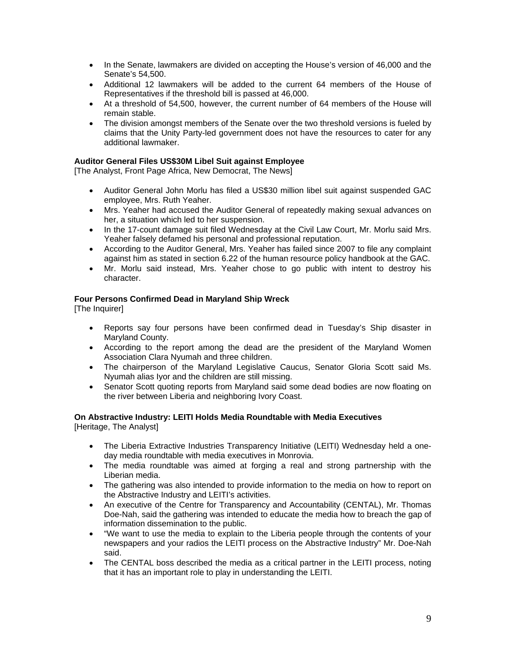- In the Senate, lawmakers are divided on accepting the House's version of 46,000 and the Senate's 54,500.
- Additional 12 lawmakers will be added to the current 64 members of the House of Representatives if the threshold bill is passed at 46,000.
- At a threshold of 54,500, however, the current number of 64 members of the House will remain stable.
- The division amongst members of the Senate over the two threshold versions is fueled by claims that the Unity Party-led government does not have the resources to cater for any additional lawmaker.

#### **Auditor General Files US\$30M Libel Suit against Employee**

[The Analyst, Front Page Africa, New Democrat, The News]

- Auditor General John Morlu has filed a US\$30 million libel suit against suspended GAC employee, Mrs. Ruth Yeaher.
- Mrs. Yeaher had accused the Auditor General of repeatedly making sexual advances on her, a situation which led to her suspension.
- In the 17-count damage suit filed Wednesday at the Civil Law Court, Mr. Morlu said Mrs. Yeaher falsely defamed his personal and professional reputation.
- According to the Auditor General, Mrs. Yeaher has failed since 2007 to file any complaint against him as stated in section 6.22 of the human resource policy handbook at the GAC.
- Mr. Morlu said instead, Mrs. Yeaher chose to go public with intent to destroy his character.

#### **Four Persons Confirmed Dead in Maryland Ship Wreck**

[The Inquirer]

- Reports say four persons have been confirmed dead in Tuesday's Ship disaster in Maryland County.
- According to the report among the dead are the president of the Maryland Women Association Clara Nyumah and three children.
- The chairperson of the Maryland Legislative Caucus, Senator Gloria Scott said Ms. Nyumah alias Iyor and the children are still missing.
- Senator Scott quoting reports from Maryland said some dead bodies are now floating on the river between Liberia and neighboring Ivory Coast.

#### **On Abstractive Industry: LEITI Holds Media Roundtable with Media Executives**

[Heritage, The Analyst]

- The Liberia Extractive Industries Transparency Initiative (LEITI) Wednesday held a oneday media roundtable with media executives in Monrovia.
- The media roundtable was aimed at forging a real and strong partnership with the Liberian media.
- The gathering was also intended to provide information to the media on how to report on the Abstractive Industry and LEITI's activities.
- An executive of the Centre for Transparency and Accountability (CENTAL), Mr. Thomas Doe-Nah, said the gathering was intended to educate the media how to breach the gap of information dissemination to the public.
- "We want to use the media to explain to the Liberia people through the contents of your newspapers and your radios the LEITI process on the Abstractive Industry" Mr. Doe-Nah said.
- The CENTAL boss described the media as a critical partner in the LEITI process, noting that it has an important role to play in understanding the LEITI.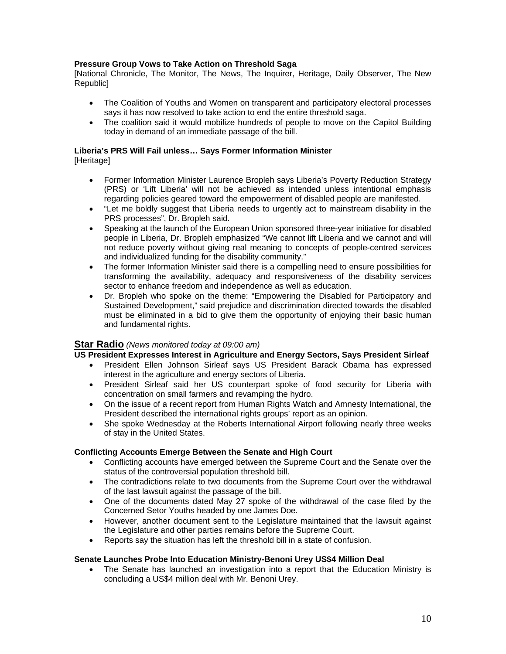#### **Pressure Group Vows to Take Action on Threshold Saga**

[National Chronicle, The Monitor, The News, The Inquirer, Heritage, Daily Observer, The New Republic]

- The Coalition of Youths and Women on transparent and participatory electoral processes says it has now resolved to take action to end the entire threshold saga.
- The coalition said it would mobilize hundreds of people to move on the Capitol Building today in demand of an immediate passage of the bill.

#### **Liberia's PRS Will Fail unless… Says Former Information Minister**  [Heritage]

- Former Information Minister Laurence Bropleh says Liberia's Poverty Reduction Strategy (PRS) or 'Lift Liberia' will not be achieved as intended unless intentional emphasis regarding policies geared toward the empowerment of disabled people are manifested.
- "Let me boldly suggest that Liberia needs to urgently act to mainstream disability in the PRS processes", Dr. Bropleh said.
- Speaking at the launch of the European Union sponsored three-year initiative for disabled people in Liberia, Dr. Bropleh emphasized "We cannot lift Liberia and we cannot and will not reduce poverty without giving real meaning to concepts of people-centred services and individualized funding for the disability community."
- The former Information Minister said there is a compelling need to ensure possibilities for transforming the availability, adequacy and responsiveness of the disability services sector to enhance freedom and independence as well as education.
- Dr. Bropleh who spoke on the theme: "Empowering the Disabled for Participatory and Sustained Development," said prejudice and discrimination directed towards the disabled must be eliminated in a bid to give them the opportunity of enjoying their basic human and fundamental rights.

#### **Star Radio** *(News monitored today at 09:00 am)*

#### **US President Expresses Interest in Agriculture and Energy Sectors, Says President Sirleaf**

- President Ellen Johnson Sirleaf says US President Barack Obama has expressed interest in the agriculture and energy sectors of Liberia.
- President Sirleaf said her US counterpart spoke of food security for Liberia with concentration on small farmers and revamping the hydro.
- On the issue of a recent report from Human Rights Watch and Amnesty International, the President described the international rights groups' report as an opinion.
- She spoke Wednesday at the Roberts International Airport following nearly three weeks of stay in the United States.

#### **Conflicting Accounts Emerge Between the Senate and High Court**

- Conflicting accounts have emerged between the Supreme Court and the Senate over the status of the controversial population threshold bill.
- The contradictions relate to two documents from the Supreme Court over the withdrawal of the last lawsuit against the passage of the bill.
- One of the documents dated May 27 spoke of the withdrawal of the case filed by the Concerned Setor Youths headed by one James Doe.
- However, another document sent to the Legislature maintained that the lawsuit against the Legislature and other parties remains before the Supreme Court.
- Reports say the situation has left the threshold bill in a state of confusion.

#### **Senate Launches Probe Into Education Ministry-Benoni Urey US\$4 Million Deal**

• The Senate has launched an investigation into a report that the Education Ministry is concluding a US\$4 million deal with Mr. Benoni Urey.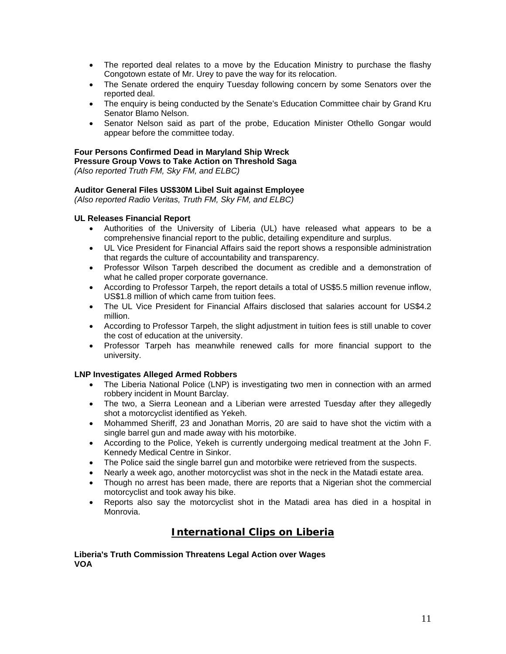- The reported deal relates to a move by the Education Ministry to purchase the flashy Congotown estate of Mr. Urey to pave the way for its relocation.
- The Senate ordered the enquiry Tuesday following concern by some Senators over the reported deal.
- The enquiry is being conducted by the Senate's Education Committee chair by Grand Kru Senator Blamo Nelson.
- Senator Nelson said as part of the probe, Education Minister Othello Gongar would appear before the committee today.

#### **Four Persons Confirmed Dead in Maryland Ship Wreck**

**Pressure Group Vows to Take Action on Threshold Saga** 

*(Also reported Truth FM, Sky FM, and ELBC)*

#### **Auditor General Files US\$30M Libel Suit against Employee**

*(Also reported Radio Veritas, Truth FM, Sky FM, and ELBC)*

#### **UL Releases Financial Report**

- Authorities of the University of Liberia (UL) have released what appears to be a comprehensive financial report to the public, detailing expenditure and surplus.
- UL Vice President for Financial Affairs said the report shows a responsible administration that regards the culture of accountability and transparency.
- Professor Wilson Tarpeh described the document as credible and a demonstration of what he called proper corporate governance.
- According to Professor Tarpeh, the report details a total of US\$5.5 million revenue inflow, US\$1.8 million of which came from tuition fees.
- The UL Vice President for Financial Affairs disclosed that salaries account for US\$4.2 million.
- According to Professor Tarpeh, the slight adjustment in tuition fees is still unable to cover the cost of education at the university.
- Professor Tarpeh has meanwhile renewed calls for more financial support to the university.

#### **LNP Investigates Alleged Armed Robbers**

- The Liberia National Police (LNP) is investigating two men in connection with an armed robbery incident in Mount Barclay.
- The two, a Sierra Leonean and a Liberian were arrested Tuesday after they allegedly shot a motorcyclist identified as Yekeh.
- Mohammed Sheriff, 23 and Jonathan Morris, 20 are said to have shot the victim with a single barrel gun and made away with his motorbike.
- According to the Police, Yekeh is currently undergoing medical treatment at the John F. Kennedy Medical Centre in Sinkor.
- The Police said the single barrel gun and motorbike were retrieved from the suspects.
- Nearly a week ago, another motorcyclist was shot in the neck in the Matadi estate area.
- Though no arrest has been made, there are reports that a Nigerian shot the commercial motorcyclist and took away his bike.
- Reports also say the motorcyclist shot in the Matadi area has died in a hospital in Monrovia.

## **International Clips on Liberia**

**Liberia's Truth Commission Threatens Legal Action over Wages VOA**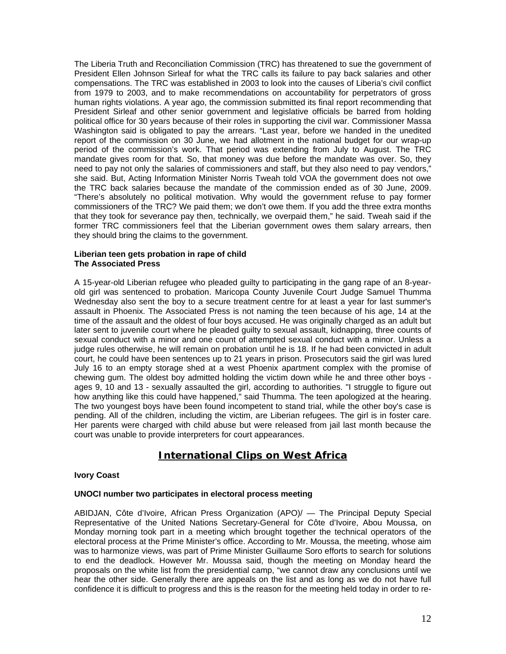The Liberia Truth and Reconciliation Commission (TRC) has threatened to sue the government of President Ellen Johnson Sirleaf for what the TRC calls its failure to pay back salaries and other compensations. The TRC was established in 2003 to look into the causes of Liberia's civil conflict from 1979 to 2003, and to make recommendations on accountability for perpetrators of gross human rights violations. A year ago, the commission submitted its final report recommending that President Sirleaf and other senior government and legislative officials be barred from holding political office for 30 years because of their roles in supporting the civil war. Commissioner Massa Washington said is obligated to pay the arrears. "Last year, before we handed in the unedited report of the commission on 30 June, we had allotment in the national budget for our wrap-up period of the commission's work. That period was extending from July to August. The TRC mandate gives room for that. So, that money was due before the mandate was over. So, they need to pay not only the salaries of commissioners and staff, but they also need to pay vendors," she said. But, Acting Information Minister Norris Tweah told VOA the government does not owe the TRC back salaries because the mandate of the commission ended as of 30 June, 2009. "There's absolutely no political motivation. Why would the government refuse to pay former commissioners of the TRC? We paid them; we don't owe them. If you add the three extra months that they took for severance pay then, technically, we overpaid them," he said. Tweah said if the former TRC commissioners feel that the Liberian government owes them salary arrears, then they should bring the claims to the government.

#### **Liberian teen gets probation in rape of child The Associated Press**

A 15-year-old Liberian refugee who pleaded guilty to participating in the gang rape of an 8-yearold girl was sentenced to probation. Maricopa County Juvenile Court Judge Samuel Thumma Wednesday also sent the boy to a secure treatment centre for at least a year for last summer's assault in Phoenix. The Associated Press is not naming the teen because of his age, 14 at the time of the assault and the oldest of four boys accused. He was originally charged as an adult but later sent to juvenile court where he pleaded guilty to sexual assault, kidnapping, three counts of sexual conduct with a minor and one count of attempted sexual conduct with a minor. Unless a judge rules otherwise, he will remain on probation until he is 18. If he had been convicted in adult court, he could have been sentences up to 21 years in prison. Prosecutors said the girl was lured July 16 to an empty storage shed at a west Phoenix apartment complex with the promise of chewing gum. The oldest boy admitted holding the victim down while he and three other boys ages 9, 10 and 13 - sexually assaulted the girl, according to authorities. "I struggle to figure out how anything like this could have happened," said Thumma. The teen apologized at the hearing. The two youngest boys have been found incompetent to stand trial, while the other boy's case is pending. All of the children, including the victim, are Liberian refugees. The girl is in foster care. Her parents were charged with child abuse but were released from jail last month because the court was unable to provide interpreters for court appearances.

## **International Clips on West Africa**

#### **Ivory Coast**

#### **UNOCI number two participates in electoral process meeting**

ABIDJAN, Côte d'Ivoire, African Press Organization (APO)/ — The Principal Deputy Special Representative of the United Nations Secretary-General for Côte d'Ivoire, Abou Moussa, on Monday morning took part in a meeting which brought together the technical operators of the electoral process at the Prime Minister's office. According to Mr. Moussa, the meeting, whose aim was to harmonize views, was part of Prime Minister Guillaume Soro efforts to search for solutions to end the deadlock. However Mr. Moussa said, though the meeting on Monday heard the proposals on the white list from the presidential camp, "we cannot draw any conclusions until we hear the other side. Generally there are appeals on the list and as long as we do not have full confidence it is difficult to progress and this is the reason for the meeting held today in order to re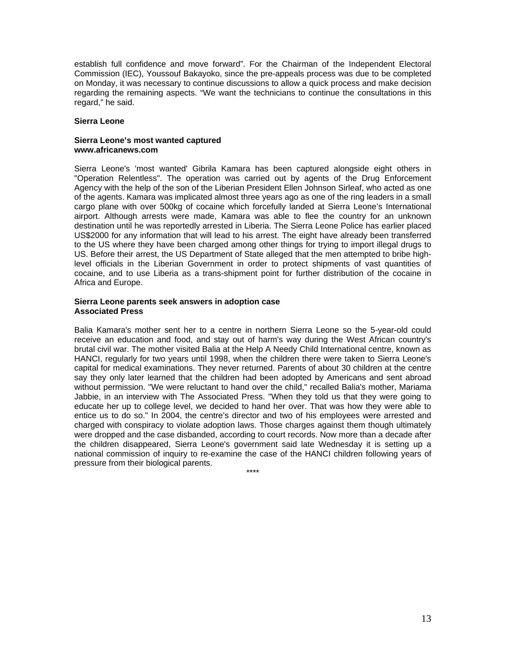establish full confidence and move forward". For the Chairman of the Independent Electoral Commission (IEC), Youssouf Bakayoko, since the pre-appeals process was due to be completed on Monday, it was necessary to continue discussions to allow a quick process and make decision regarding the remaining aspects. "We want the technicians to continue the consultations in this regard," he said.

#### **Sierra Leone**

#### **Sierra Leone's most wanted captured [www.africanews.com](http://www.africanews.com/)**

Sierra Leone's 'most wanted' Gibrila Kamara has been captured alongside eight others in "Operation Relentless". The operation was carried out by agents of the Drug Enforcement Agency with the help of the son of the Liberian President Ellen Johnson Sirleaf, who acted as one of the agents. Kamara was implicated almost three years ago as one of the ring leaders in a small cargo plane with over 500kg of cocaine which forcefully landed at Sierra Leone's International airport. Although arrests were made, Kamara was able to flee the country for an unknown destination until he was reportedly arrested in Liberia. The Sierra Leone Police has earlier placed US\$2000 for any information that will lead to his arrest. The eight have already been transferred to the US where they have been charged among other things for trying to import illegal drugs to US. Before their arrest, the US Department of State alleged that the men attempted to bribe highlevel officials in the Liberian Government in order to protect shipments of vast quantities of cocaine, and to use Liberia as a trans-shipment point for further distribution of the cocaine in Africa and Europe.

#### **Sierra Leone parents seek answers in adoption case Associated Press**

Balia Kamara's mother sent her to a centre in northern Sierra Leone so the 5-year-old could receive an education and food, and stay out of harm's way during the West African country's brutal civil war. The mother visited Balia at the Help A Needy Child International centre, known as HANCI, regularly for two years until 1998, when the children there were taken to Sierra Leone's capital for medical examinations. They never returned. Parents of about 30 children at the centre say they only later learned that the children had been adopted by Americans and sent abroad without permission. "We were reluctant to hand over the child," recalled Balia's mother, Mariama Jabbie, in an interview with The Associated Press. "When they told us that they were going to educate her up to college level, we decided to hand her over. That was how they were able to entice us to do so." In 2004, the centre's director and two of his employees were arrested and charged with conspiracy to violate adoption laws. Those charges against them though ultimately were dropped and the case disbanded, according to court records. Now more than a decade after the children disappeared, Sierra Leone's government said late Wednesday it is setting up a national commission of inquiry to re-examine the case of the HANCI children following years of pressure from their biological parents.

\*\*\*\*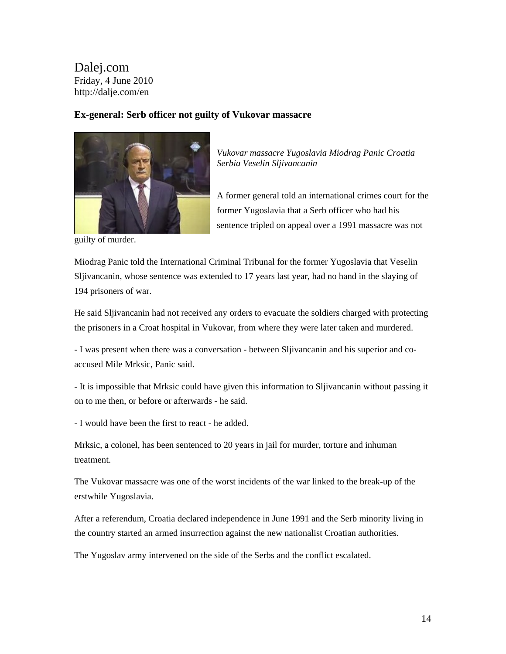Dalej.com Friday, 4 June 2010 http://dalje.com/en

#### **Ex-general: Serb officer not guilty of Vukovar massacre**



guilty of murder.

*[Vukovar massacre](http://dalje.com/en/topics/Vukovar-massacre) [Yugoslavia](http://dalje.com/en/topics/Yugoslavia) [Miodrag Panic](http://dalje.com/en/topics/Miodrag-Panic) [Croatia](http://dalje.com/en/topics/Croatia) [Serbia](http://dalje.com/en/topics/Serbia) [Veselin Sljivancanin](http://dalje.com/en/topics/Veselin-Sljivancanin)* 

A former general told an international crimes court for the former Yugoslavia that a Serb officer who had his sentence tripled on appeal over a 1991 massacre was not

Miodrag Panic told the International Criminal Tribunal for the former Yugoslavia that Veselin Sljivancanin, whose sentence was extended to 17 years last year, had no hand in the slaying of 194 prisoners of war.

He said Sljivancanin had not received any orders to evacuate the soldiers charged with protecting the prisoners in a Croat hospital in Vukovar, from where they were later taken and murdered.

- I was present when there was a conversation - between Sljivancanin and his superior and coaccused Mile Mrksic, Panic said.

- It is impossible that Mrksic could have given this information to Sljivancanin without passing it on to me then, or before or afterwards - he said.

- I would have been the first to react - he added.

Mrksic, a colonel, has been sentenced to 20 years in jail for murder, torture and inhuman treatment.

The Vukovar massacre was one of the worst incidents of the war linked to the break-up of the erstwhile Yugoslavia.

After a referendum, Croatia declared independence in June 1991 and the Serb minority living in the country started an armed insurrection against the new nationalist Croatian authorities.

The Yugoslav army intervened on the side of the Serbs and the conflict escalated.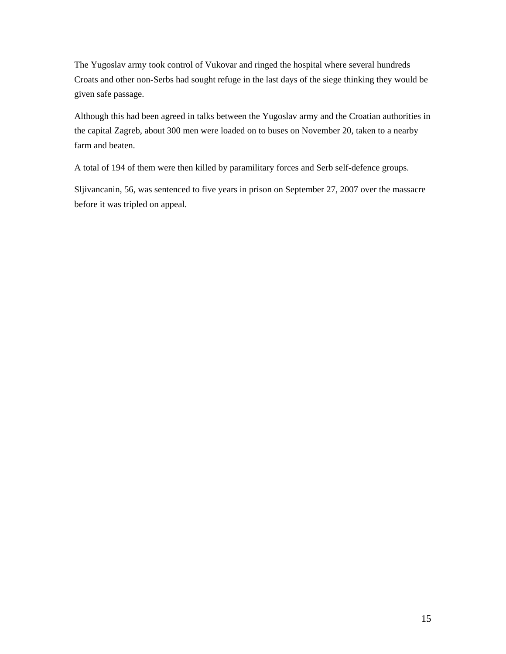The Yugoslav army took control of Vukovar and ringed the hospital where several hundreds Croats and other non-Serbs had sought refuge in the last days of the siege thinking they would be given safe passage.

Although this had been agreed in talks between the Yugoslav army and the Croatian authorities in the capital Zagreb, about 300 men were loaded on to buses on November 20, taken to a nearby farm and beaten.

A total of 194 of them were then killed by paramilitary forces and Serb self-defence groups.

Sljivancanin, 56, was sentenced to five years in prison on September 27, 2007 over the massacre before it was tripled on appeal.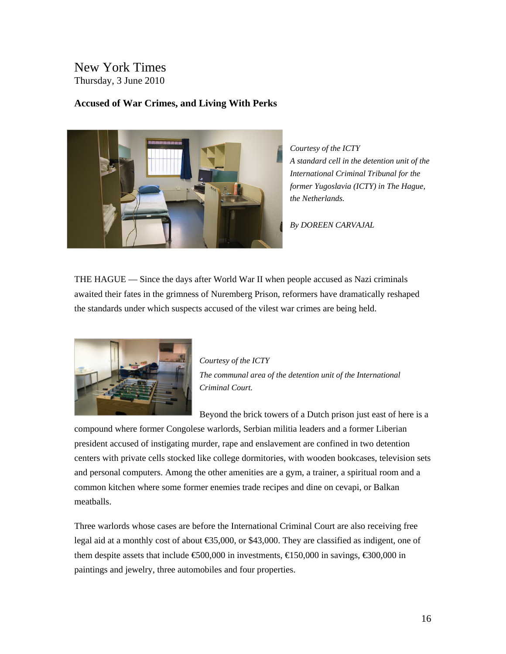## New York Times Thursday, 3 June 2010

## **Accused of War Crimes, and Living With Perks**



*Courtesy of the ICTY A standard cell in the detention unit of the International Criminal Tribunal for the former Yugoslavia (ICTY) in The Hague, the Netherlands.* 

*By DOREEN CARVAJAL* 

THE HAGUE — Since the days after World War II when people accused as Nazi criminals awaited their fates in the grimness of Nuremberg Prison, reformers have dramatically reshaped the standards under which suspects accused of the vilest war crimes are being held.



*Courtesy of the ICTY The communal area of the detention unit of the International Criminal Court.* 

Beyond the brick towers of a Dutch prison just east of here is a

compound where former Congolese warlords, Serbian militia leaders and a former Liberian president accused of instigating murder, rape and enslavement are confined in two detention centers with private cells stocked like college dormitories, with wooden bookcases, television sets and personal computers. Among the other amenities are a gym, a trainer, a spiritual room and a common kitchen where some former enemies trade recipes and dine on cevapi, or Balkan meatballs.

Three warlords whose cases are before the [International Criminal Court](http://topics.nytimes.com/top/reference/timestopics/organizations/i/international_criminal_court/index.html?inline=nyt-org) are also receiving free legal aid at a monthly cost of about €35,000, or \$43,000. They are classified as indigent, one of them despite assets that include  $\text{\textsterling}00,000$  in investments,  $\text{\textsterling}150,000$  in savings,  $\text{\textsterling}300,000$  in paintings and jewelry, three automobiles and four properties.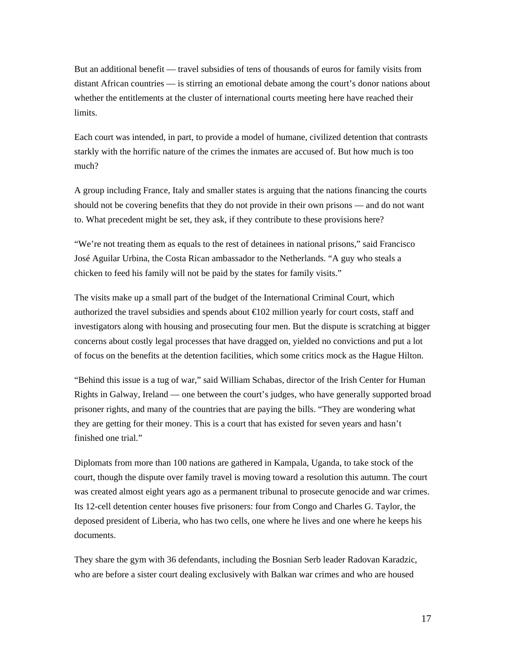But an additional benefit — travel subsidies of tens of thousands of euros for family visits from distant African countries — is stirring an emotional debate among the court's donor nations about whether the entitlements at the cluster of international courts meeting here have reached their limits.

Each court was intended, in part, to provide a model of humane, civilized detention that contrasts starkly with the horrific nature of the crimes the inmates are accused of. But how much is too much?

A group including France, Italy and smaller states is arguing that the nations financing the courts should not be covering benefits that they do not provide in their own prisons — and do not want to. What precedent might be set, they ask, if they contribute to these provisions here?

"We're not treating them as equals to the rest of detainees in national prisons," said Francisco José Aguilar Urbina, the Costa Rican ambassador to the Netherlands. "A guy who steals a chicken to feed his family will not be paid by the states for family visits."

The visits make up a small part of the budget of the International Criminal Court, which authorized the travel subsidies and spends about €102 million yearly for court costs, staff and investigators along with housing and prosecuting four men. But the dispute is scratching at bigger concerns about costly legal processes that have dragged on, yielded no convictions and put a lot of focus on the benefits at the detention facilities, which some critics mock as the Hague Hilton.

"Behind this issue is a tug of war," said William Schabas, director of the Irish Center for Human Rights in Galway, Ireland — one between the court's judges, who have generally supported broad prisoner rights, and many of the countries that are paying the bills. "They are wondering what they are getting for their money. This is a court that has existed for seven years and hasn't finished one trial."

Diplomats from more than 100 nations are gathered in Kampala, Uganda, to take stock of the court, though the dispute over family travel is moving toward a resolution this autumn. The court was created almost eight years ago as a permanent tribunal to prosecute genocide and war crimes. Its 12-cell detention center houses five prisoners: four from Congo and [Charles G. Taylor](http://topics.nytimes.com/top/reference/timestopics/people/t/charles_taylor/index.html?inline=nyt-per), the deposed president of Liberia, who has two cells, one where he lives and one where he keeps his documents.

They share the gym with 36 defendants, including the Bosnian Serb leader [Radovan Karadzic](http://www.nytimes.com/info/radovan-karadzic/index.html?inline=nyt-per), who are before a sister court dealing exclusively with Balkan war crimes and who are housed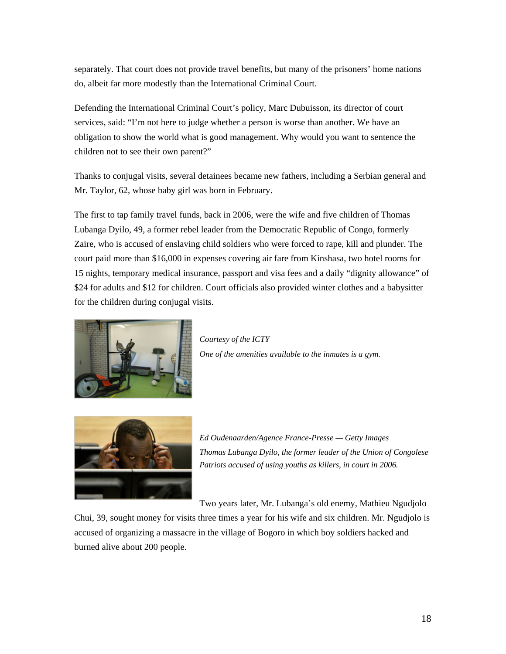separately. That court does not provide travel benefits, but many of the prisoners' home nations do, albeit far more modestly than the International Criminal Court.

Defending the International Criminal Court's policy, Marc Dubuisson, its director of court services, said: "I'm not here to judge whether a person is worse than another. We have an obligation to show the world what is good management. Why would you want to sentence the children not to see their own parent?"

Thanks to conjugal visits, several detainees became new fathers, including a Serbian general and Mr. Taylor, 62, whose baby girl was born in February.

The first to tap family travel funds, back in 2006, were the wife and five children of [Thomas](http://topics.nytimes.com/top/reference/timestopics/people/l/thomas_lubanga/index.html?inline=nyt-per)  [Lubanga](http://topics.nytimes.com/top/reference/timestopics/people/l/thomas_lubanga/index.html?inline=nyt-per) Dyilo, 49, a former rebel leader from the Democratic Republic of Congo, formerly Zaire, who is accused of enslaving child soldiers who were forced to rape, kill and plunder. The court paid more than \$16,000 in expenses covering air fare from Kinshasa, two hotel rooms for 15 nights, temporary medical insurance, passport and visa fees and a daily "dignity allowance" of \$24 for adults and \$12 for children. Court officials also provided winter clothes and a babysitter for the children during conjugal visits.



*Courtesy of the ICTY One of the amenities available to the inmates is a gym.* 



*Ed Oudenaarden/Agence France-Presse — Getty Images Thomas Lubanga Dyilo, the former leader of the Union of Congolese Patriots accused of using youths as killers, in court in 2006.* 

Two years later, Mr. Lubanga's old enemy, Mathieu Ngudjolo

Chui, 39, sought money for visits three times a year for his wife and six children. Mr. Ngudjolo is accused of organizing a massacre in the village of Bogoro in which boy soldiers hacked and burned alive about 200 people.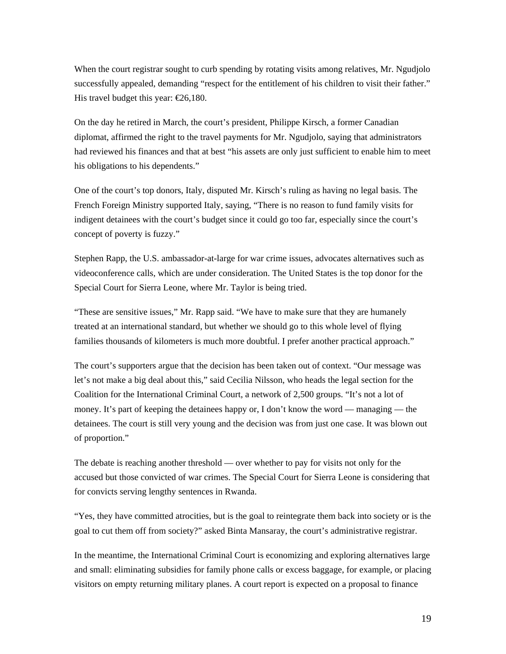When the court registrar sought to curb spending by rotating visits among relatives, Mr. Ngudjolo successfully appealed, demanding "respect for the entitlement of his children to visit their father." His travel budget this year:  $\epsilon$ 26,180.

On the day he retired in March, the court's president, Philippe Kirsch, a former Canadian diplomat, affirmed the right to the travel payments for Mr. Ngudjolo, saying that administrators had reviewed his finances and that at best "his assets are only just sufficient to enable him to meet his obligations to his dependents."

One of the court's top donors, Italy, disputed Mr. Kirsch's ruling as having no legal basis. The French Foreign Ministry supported Italy, saying, "There is no reason to fund family visits for indigent detainees with the court's budget since it could go too far, especially since the court's concept of poverty is fuzzy."

Stephen Rapp, the U.S. ambassador-at-large for war crime issues, advocates alternatives such as videoconference calls, which are under consideration. The United States is the top donor for the Special Court for Sierra Leone, where Mr. Taylor is being tried.

"These are sensitive issues," Mr. Rapp said. "We have to make sure that they are humanely treated at an international standard, but whether we should go to this whole level of flying families thousands of kilometers is much more doubtful. I prefer another practical approach."

The court's supporters argue that the decision has been taken out of context. "Our message was let's not make a big deal about this," said Cecilia Nilsson, who heads the legal section for the Coalition for the International Criminal Court, a network of 2,500 groups. "It's not a lot of money. It's part of keeping the detainees happy or, I don't know the word — managing — the detainees. The court is still very young and the decision was from just one case. It was blown out of proportion."

The debate is reaching another threshold — over whether to pay for visits not only for the accused but those convicted of war crimes. The Special Court for Sierra Leone is considering that for convicts serving lengthy sentences in Rwanda.

"Yes, they have committed atrocities, but is the goal to reintegrate them back into society or is the goal to cut them off from society?" asked Binta Mansaray, the court's administrative registrar.

In the meantime, the International Criminal Court is economizing and exploring alternatives large and small: eliminating subsidies for family phone calls or excess baggage, for example, or placing visitors on empty returning military planes. A court report is expected on a proposal to finance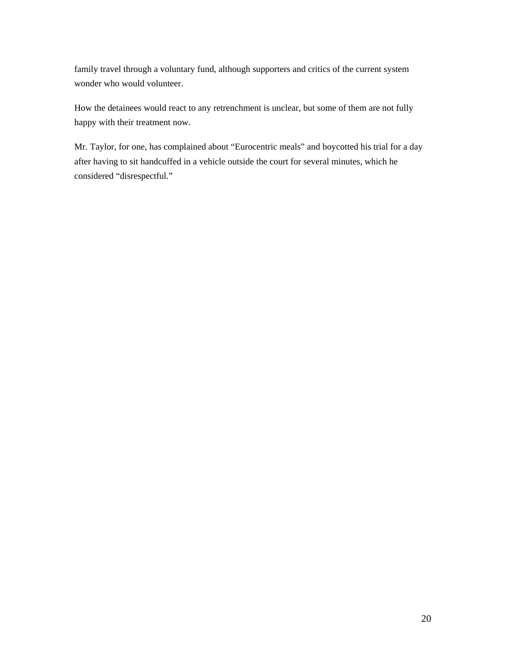family travel through a voluntary fund, although supporters and critics of the current system wonder who would volunteer.

How the detainees would react to any retrenchment is unclear, but some of them are not fully happy with their treatment now.

Mr. Taylor, for one, has complained about "Eurocentric meals" and boycotted his trial for a day after having to sit handcuffed in a vehicle outside the court for several minutes, which he considered "disrespectful."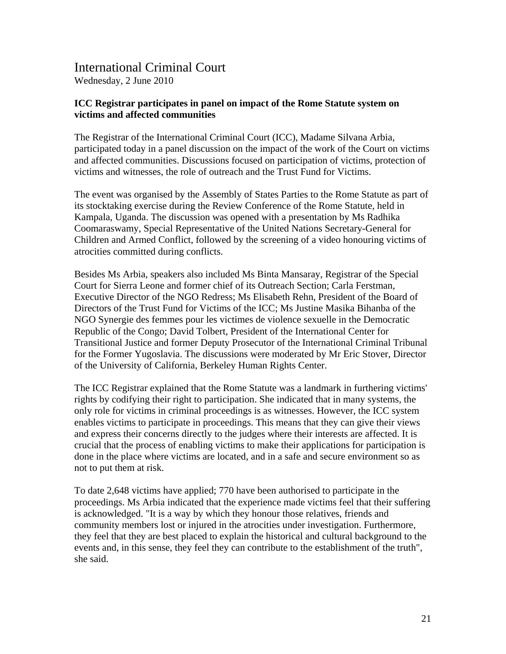## International Criminal Court

Wednesday, 2 June 2010

## **ICC Registrar participates in panel on impact of the Rome Statute system on victims and affected communities**

The Registrar of the International Criminal Court (ICC), Madame Silvana Arbia, participated today in a panel discussion on the impact of the work of the Court on victims and affected communities. Discussions focused on participation of victims, protection of victims and witnesses, the role of outreach and the Trust Fund for Victims.

The event was organised by the Assembly of States Parties to the Rome Statute as part of its stocktaking exercise during the Review Conference of the Rome Statute, held in Kampala, Uganda. The discussion was opened with a presentation by Ms Radhika Coomaraswamy, Special Representative of the United Nations Secretary-General for Children and Armed Conflict, followed by the screening of a video honouring victims of atrocities committed during conflicts.

Besides Ms Arbia, speakers also included Ms Binta Mansaray, Registrar of the Special Court for Sierra Leone and former chief of its Outreach Section; Carla Ferstman, Executive Director of the NGO Redress; Ms Elisabeth Rehn, President of the Board of Directors of the Trust Fund for Victims of the ICC; Ms Justine Masika Bihanba of the NGO Synergie des femmes pour les victimes de violence sexuelle in the Democratic Republic of the Congo; David Tolbert, President of the International Center for Transitional Justice and former Deputy Prosecutor of the International Criminal Tribunal for the Former Yugoslavia. The discussions were moderated by Mr Eric Stover, Director of the University of California, Berkeley Human Rights Center.

The ICC Registrar explained that the Rome Statute was a landmark in furthering victims' rights by codifying their right to participation. She indicated that in many systems, the only role for victims in criminal proceedings is as witnesses. However, the ICC system enables victims to participate in proceedings. This means that they can give their views and express their concerns directly to the judges where their interests are affected. It is crucial that the process of enabling victims to make their applications for participation is done in the place where victims are located, and in a safe and secure environment so as not to put them at risk.

To date 2,648 victims have applied; 770 have been authorised to participate in the proceedings. Ms Arbia indicated that the experience made victims feel that their suffering is acknowledged. "It is a way by which they honour those relatives, friends and community members lost or injured in the atrocities under investigation. Furthermore, they feel that they are best placed to explain the historical and cultural background to the events and, in this sense, they feel they can contribute to the establishment of the truth", she said.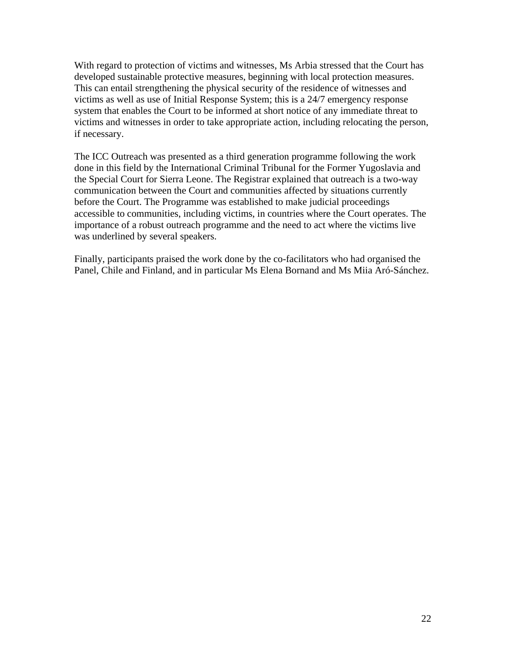With regard to protection of victims and witnesses, Ms Arbia stressed that the Court has developed sustainable protective measures, beginning with local protection measures. This can entail strengthening the physical security of the residence of witnesses and victims as well as use of Initial Response System; this is a 24/7 emergency response system that enables the Court to be informed at short notice of any immediate threat to victims and witnesses in order to take appropriate action, including relocating the person, if necessary.

The ICC Outreach was presented as a third generation programme following the work done in this field by the International Criminal Tribunal for the Former Yugoslavia and the Special Court for Sierra Leone. The Registrar explained that outreach is a two-way communication between the Court and communities affected by situations currently before the Court. The Programme was established to make judicial proceedings accessible to communities, including victims, in countries where the Court operates. The importance of a robust outreach programme and the need to act where the victims live was underlined by several speakers.

Finally, participants praised the work done by the co-facilitators who had organised the Panel, Chile and Finland, and in particular Ms Elena Bornand and Ms Miia Aró-Sánchez.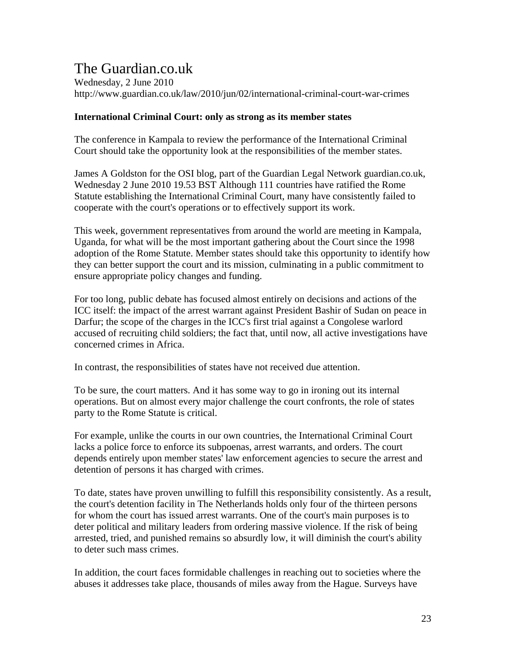# The Guardian.co.uk

Wednesday, 2 June 2010 http://www.guardian.co.uk/law/2010/jun/02/international-criminal-court-war-crimes

### **International Criminal Court: only as strong as its member states**

The conference in Kampala to review the performance of the International Criminal Court should take the opportunity look at the responsibilities of the member states.

James A Goldston for the OSI blog, part of the Guardian Legal Network guardian.co.uk, Wednesday 2 June 2010 19.53 BST Although 111 countries have ratified the Rome Statute establishing the International Criminal Court, many have consistently failed to cooperate with the court's operations or to effectively support its work.

This week, government representatives from around the world are meeting in Kampala, Uganda, for what will be the most important gathering about the Court since the 1998 adoption of the Rome Statute. Member states should take this opportunity to identify how they can better support the court and its mission, culminating in a public commitment to ensure appropriate policy changes and funding.

For too long, public debate has focused almost entirely on decisions and actions of the ICC itself: the impact of the arrest warrant against President Bashir of Sudan on peace in Darfur; the scope of the charges in the ICC's first trial against a Congolese warlord accused of recruiting child soldiers; the fact that, until now, all active investigations have concerned crimes in Africa.

In contrast, the responsibilities of states have not received due attention.

To be sure, the court matters. And it has some way to go in ironing out its internal operations. But on almost every major challenge the court confronts, the role of states party to the Rome Statute is critical.

For example, unlike the courts in our own countries, the International Criminal Court lacks a police force to enforce its subpoenas, arrest warrants, and orders. The court depends entirely upon member states' law enforcement agencies to secure the arrest and detention of persons it has charged with crimes.

To date, states have proven unwilling to fulfill this responsibility consistently. As a result, the court's detention facility in The Netherlands holds only four of the thirteen persons for whom the court has issued arrest warrants. One of the court's main purposes is to deter political and military leaders from ordering massive violence. If the risk of being arrested, tried, and punished remains so absurdly low, it will diminish the court's ability to deter such mass crimes.

In addition, the court faces formidable challenges in reaching out to societies where the abuses it addresses take place, thousands of miles away from the Hague. Surveys have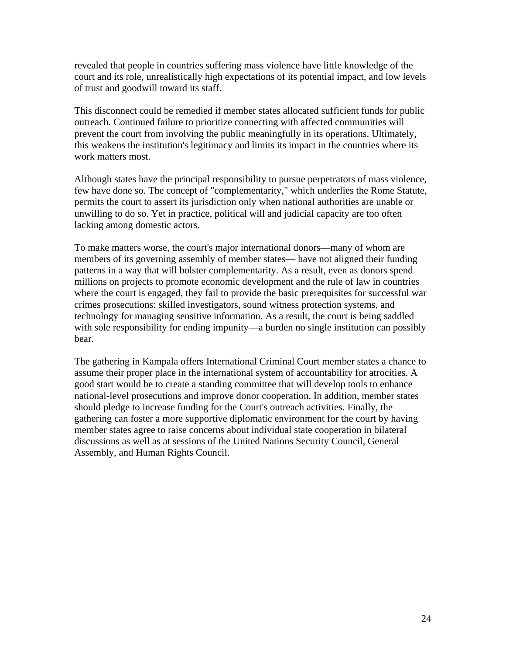revealed that people in countries suffering mass violence have little knowledge of the court and its role, unrealistically high expectations of its potential impact, and low levels of trust and goodwill toward its staff.

This disconnect could be remedied if member states allocated sufficient funds for public outreach. Continued failure to prioritize connecting with affected communities will prevent the court from involving the public meaningfully in its operations. Ultimately, this weakens the institution's legitimacy and limits its impact in the countries where its work matters most.

Although states have the principal responsibility to pursue perpetrators of mass violence, few have done so. The concept of "complementarity," which underlies the Rome Statute, permits the court to assert its jurisdiction only when national authorities are unable or unwilling to do so. Yet in practice, political will and judicial capacity are too often lacking among domestic actors.

To make matters worse, the court's major international donors—many of whom are members of its governing assembly of member states— have not aligned their funding patterns in a way that will bolster complementarity. As a result, even as donors spend millions on projects to promote economic development and the rule of law in countries where the court is engaged, they fail to provide the basic prerequisites for successful war crimes prosecutions: skilled investigators, sound witness protection systems, and technology for managing sensitive information. As a result, the court is being saddled with sole responsibility for ending impunity—a burden no single institution can possibly bear.

The gathering in Kampala offers International Criminal Court member states a chance to assume their proper place in the international system of accountability for atrocities. A good start would be to create a standing committee that will develop tools to enhance national-level prosecutions and improve donor cooperation. In addition, member states should pledge to increase funding for the Court's outreach activities. Finally, the gathering can foster a more supportive diplomatic environment for the court by having member states agree to raise concerns about individual state cooperation in bilateral discussions as well as at sessions of the United Nations Security Council, General Assembly, and Human Rights Council.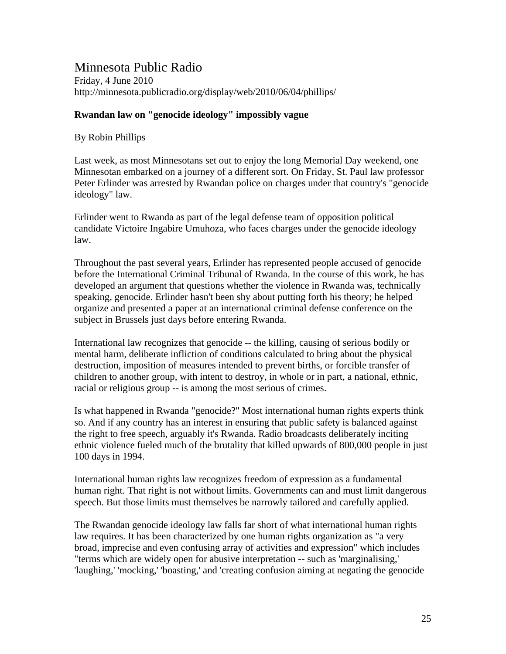## Minnesota Public Radio

Friday, 4 June 2010 http://minnesota.publicradio.org/display/web/2010/06/04/phillips/

## **Rwandan law on "genocide ideology" impossibly vague**

By Robin Phillips

Last week, as most Minnesotans set out to enjoy the long Memorial Day weekend, one Minnesotan embarked on a journey of a different sort. On Friday, St. Paul law professor Peter Erlinder was arrested by Rwandan police on charges under that country's "genocide ideology" law.

Erlinder went to Rwanda as part of the legal defense team of opposition political candidate Victoire Ingabire Umuhoza, who faces charges under the genocide ideology law.

Throughout the past several years, Erlinder has represented people accused of genocide before the International Criminal Tribunal of Rwanda. In the course of this work, he has developed an argument that questions whether the violence in Rwanda was, technically speaking, genocide. Erlinder hasn't been shy about putting forth his theory; he helped organize and presented a paper at an international criminal defense conference on the subject in Brussels just days before entering Rwanda.

International law recognizes that genocide -- the killing, causing of serious bodily or mental harm, deliberate infliction of conditions calculated to bring about the physical destruction, imposition of measures intended to prevent births, or forcible transfer of children to another group, with intent to destroy, in whole or in part, a national, ethnic, racial or religious group -- is among the most serious of crimes.

Is what happened in Rwanda "genocide?" Most international human rights experts think so. And if any country has an interest in ensuring that public safety is balanced against the right to free speech, arguably it's Rwanda. Radio broadcasts deliberately inciting ethnic violence fueled much of the brutality that killed upwards of 800,000 people in just 100 days in 1994.

International human rights law recognizes freedom of expression as a fundamental human right. That right is not without limits. Governments can and must limit dangerous speech. But those limits must themselves be narrowly tailored and carefully applied.

The Rwandan genocide ideology law falls far short of what international human rights law requires. It has been characterized by one human rights organization as "a very broad, imprecise and even confusing array of activities and expression" which includes "terms which are widely open for abusive interpretation -- such as 'marginalising,' 'laughing,' 'mocking,' 'boasting,' and 'creating confusion aiming at negating the genocide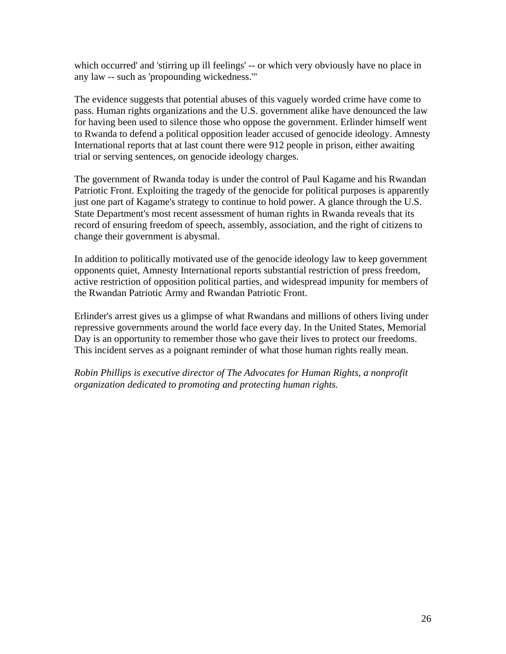which occurred' and 'stirring up ill feelings' -- or which very obviously have no place in any law -- such as 'propounding wickedness.'"

The evidence suggests that potential abuses of this vaguely worded crime have come to pass. Human rights organizations and the U.S. government alike have denounced the law for having been used to silence those who oppose the government. Erlinder himself went to Rwanda to defend a political opposition leader accused of genocide ideology. Amnesty International reports that at last count there were 912 people in prison, either awaiting trial or serving sentences, on genocide ideology charges.

The government of Rwanda today is under the control of Paul Kagame and his Rwandan Patriotic Front. Exploiting the tragedy of the genocide for political purposes is apparently just one part of Kagame's strategy to continue to hold power. A glance through the U.S. State Department's most recent assessment of human rights in Rwanda reveals that its record of ensuring freedom of speech, assembly, association, and the right of citizens to change their government is abysmal.

In addition to politically motivated use of the genocide ideology law to keep government opponents quiet, Amnesty International reports substantial restriction of press freedom, active restriction of opposition political parties, and widespread impunity for members of the Rwandan Patriotic Army and Rwandan Patriotic Front.

Erlinder's arrest gives us a glimpse of what Rwandans and millions of others living under repressive governments around the world face every day. In the United States, Memorial Day is an opportunity to remember those who gave their lives to protect our freedoms. This incident serves as a poignant reminder of what those human rights really mean.

*Robin Phillips is executive director of The Advocates for Human Rights, a nonprofit organization dedicated to promoting and protecting human rights.*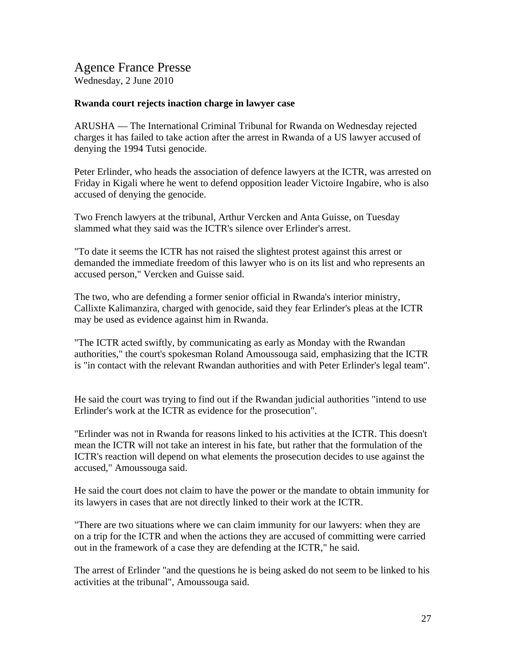## Agence France Presse

Wednesday, 2 June 2010

### **Rwanda court rejects inaction charge in lawyer case**

ARUSHA — The International Criminal Tribunal for Rwanda on Wednesday rejected charges it has failed to take action after the arrest in Rwanda of a US lawyer accused of denying the 1994 Tutsi genocide.

Peter Erlinder, who heads the association of defence lawyers at the ICTR, was arrested on Friday in Kigali where he went to defend opposition leader Victoire Ingabire, who is also accused of denying the genocide.

Two French lawyers at the tribunal, Arthur Vercken and Anta Guisse, on Tuesday slammed what they said was the ICTR's silence over Erlinder's arrest.

"To date it seems the ICTR has not raised the slightest protest against this arrest or demanded the immediate freedom of this lawyer who is on its list and who represents an accused person," Vercken and Guisse said.

The two, who are defending a former senior official in Rwanda's interior ministry, Callixte Kalimanzira, charged with genocide, said they fear Erlinder's pleas at the ICTR may be used as evidence against him in Rwanda.

"The ICTR acted swiftly, by communicating as early as Monday with the Rwandan authorities," the court's spokesman Roland Amoussouga said, emphasizing that the ICTR is "in contact with the relevant Rwandan authorities and with Peter Erlinder's legal team".

He said the court was trying to find out if the Rwandan judicial authorities "intend to use Erlinder's work at the ICTR as evidence for the prosecution".

"Erlinder was not in Rwanda for reasons linked to his activities at the ICTR. This doesn't mean the ICTR will not take an interest in his fate, but rather that the formulation of the ICTR's reaction will depend on what elements the prosecution decides to use against the accused," Amoussouga said.

He said the court does not claim to have the power or the mandate to obtain immunity for its lawyers in cases that are not directly linked to their work at the ICTR.

"There are two situations where we can claim immunity for our lawyers: when they are on a trip for the ICTR and when the actions they are accused of committing were carried out in the framework of a case they are defending at the ICTR," he said.

The arrest of Erlinder "and the questions he is being asked do not seem to be linked to his activities at the tribunal", Amoussouga said.